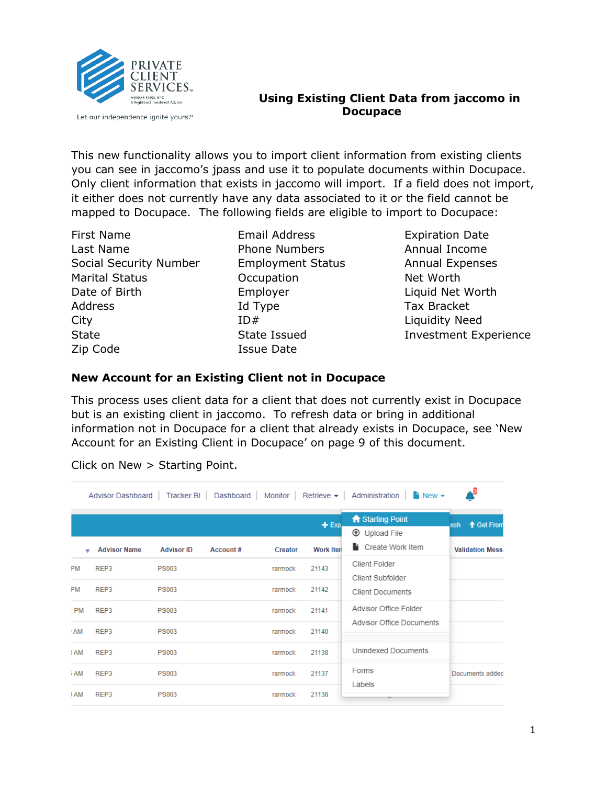

Let our independence ignite yours.™

#### **Using Existing Client Data from jaccomo in Docupace**

This new functionality allows you to import client information from existing clients you can see in jaccomo's jpass and use it to populate documents within Docupace. Only client information that exists in jaccomo will import. If a field does not import, it either does not currently have any data associated to it or the field cannot be mapped to Docupace. The following fields are eligible to import to Docupace:

First Name Last Name Social Security Number Marital Status Date of Birth Address City **State** Zip Code

Email Address Phone Numbers Employment Status **Occupation** Employer Id Type  $ID#$ State Issued Issue Date

Expiration Date Annual Income Annual Expenses Net Worth Liquid Net Worth Tax Bracket Liquidity Need Investment Experience

### **New Account for an Existing Client not in Docupace**

This process uses client data for a client that does not currently exist in Docupace but is an existing client in jaccomo. To refresh data or bring in additional information not in Docupace for a client that already exists in Docupace, see 'New Account for an Existing Client in Docupace' on page 9 of this document.

|           | Advisor Dashboard   |                   |          |         |                  | Tracker BI   Dashboard   Monitor   Retrieve $\star$   Administration   $\uparrow$ New $\star$ |                        |
|-----------|---------------------|-------------------|----------|---------|------------------|-----------------------------------------------------------------------------------------------|------------------------|
|           |                     |                   |          |         | $+$ Exp.         | <b>A</b> Starting Point<br>$^{\circledR}$<br>Upload File                                      | ↑ Get From<br>esh.     |
|           | <b>Advisor Name</b> | <b>Advisor ID</b> | Account# | Creator | <b>Work Iten</b> | Create Work Item                                                                              | <b>Validation Mess</b> |
| PM        | REP3                | <b>PS003</b>      |          | rarmock | 21143            | Client Folder<br>Client Subfolder                                                             |                        |
| PM        | REP3                | <b>PS003</b>      |          | rarmock | 21142            | <b>Client Documents</b>                                                                       |                        |
| <b>PM</b> | REP3                | <b>PS003</b>      |          | rarmock | 21141            | Advisor Office Folder                                                                         |                        |
| <b>AM</b> | REP3                | <b>PS003</b>      |          | rarmock | 21140            | Advisor Office Documents                                                                      |                        |
| : AM      | REP3                | <b>PS003</b>      |          | rarmock | 21138            | Unindexed Documents                                                                           |                        |
| i AM      | RFP3                | <b>PS003</b>      |          | rarmock | 21137            | Forms                                                                                         | Documents added        |
| I AM      | REP3                | <b>PS003</b>      |          | rarmock | 21136            | Labels                                                                                        |                        |

Click on New > Starting Point.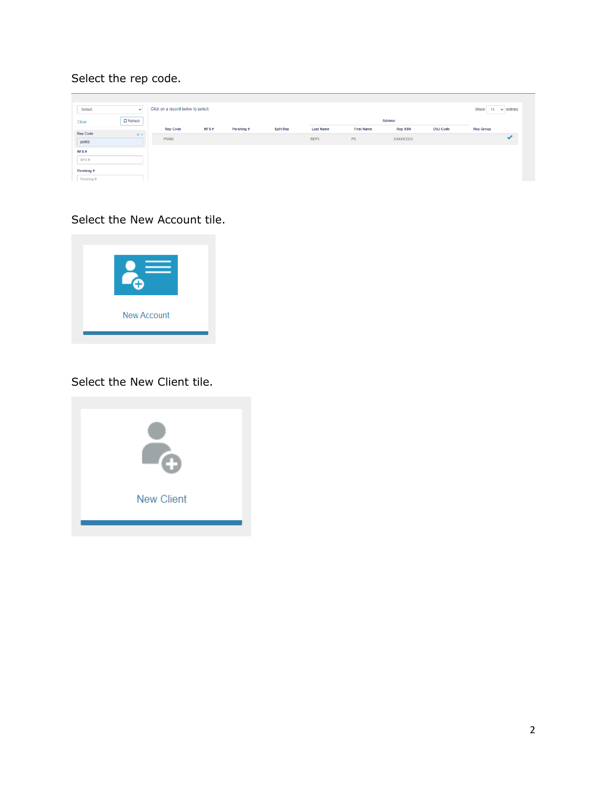# Select the rep code.

| Default         | $\checkmark$ | Click on a record below to select: |      |            |                  |                  |                   |                |                 | Show<br>15       | $\vee$ entries |
|-----------------|--------------|------------------------------------|------|------------|------------------|------------------|-------------------|----------------|-----------------|------------------|----------------|
| Clear           | C Refresh    |                                    |      |            |                  |                  |                   | Advisor        |                 |                  |                |
| <b>Rep Code</b> |              | <b>Rep Code</b>                    | NFS# | Pershing # | <b>Split Rep</b> | <b>Last Name</b> | <b>First Name</b> | <b>Rep SSN</b> | <b>OSJ Code</b> | <b>Rep Group</b> |                |
| ps003           | $is -$       | <b>PS003</b>                       |      |            |                  | REP3             | PS                | XXXXX3333      |                 |                  |                |
| NFS#            |              |                                    |      |            |                  |                  |                   |                |                 |                  |                |
| NFS#            |              |                                    |      |            |                  |                  |                   |                |                 |                  |                |
| Pershing #      |              |                                    |      |            |                  |                  |                   |                |                 |                  |                |
| Pershing #      |              |                                    |      |            |                  |                  |                   |                |                 |                  |                |

## Select the New Account tile.



## Select the New Client tile.

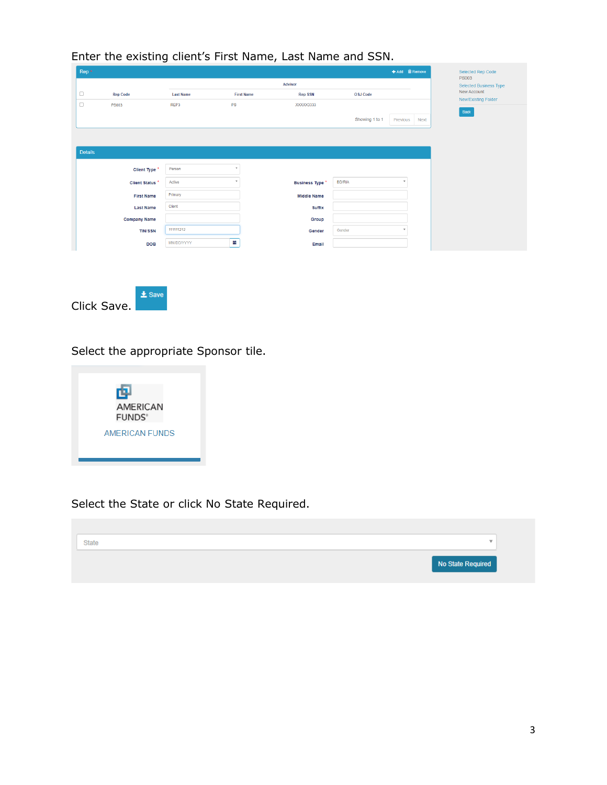| Rep <sup>*</sup> |                     | ັ                |                   |                        |                |              | + Add m Remove |
|------------------|---------------------|------------------|-------------------|------------------------|----------------|--------------|----------------|
|                  |                     |                  |                   | Advisor                |                |              |                |
| $\Box$           | <b>Rep Code</b>     | <b>Last Name</b> | <b>First Name</b> | <b>Rep SSN</b>         | OSJ Code       |              |                |
| $\Box$           | <b>PS003</b>        | REP3             | PS                | XXXXX3333              |                |              |                |
|                  |                     |                  |                   |                        | Showing 1 to 1 | Previous     | Next           |
|                  |                     |                  |                   |                        |                |              |                |
|                  |                     |                  |                   |                        |                |              |                |
| <b>Details</b>   |                     |                  |                   |                        |                |              |                |
|                  | Client Type *       | Person           |                   |                        |                |              |                |
|                  | Client Status *     | Active           |                   | <b>Business Type *</b> | <b>BD/RIA</b>  | $\;$         |                |
|                  |                     |                  |                   |                        |                |              |                |
|                  | <b>First Name</b>   | Primary          |                   | <b>Middle Name</b>     |                |              |                |
|                  | <b>Last Name</b>    | Client           |                   | <b>Suffix</b>          |                |              |                |
|                  | <b>Company Name</b> |                  |                   | Group                  |                |              |                |
|                  | <b>TIN/SSN</b>      | 111111212        |                   | Gender                 | Gender         | $\mathbf{v}$ |                |
|                  |                     |                  |                   |                        |                |              |                |

#### Enter the existing client's First Name, Last Name and SSN.

Click Save.

### Select the appropriate Sponsor tile.

 $\pm$  Save



### Select the State or click No State Required.

# State  $\overline{\mathbf v}$ No State Required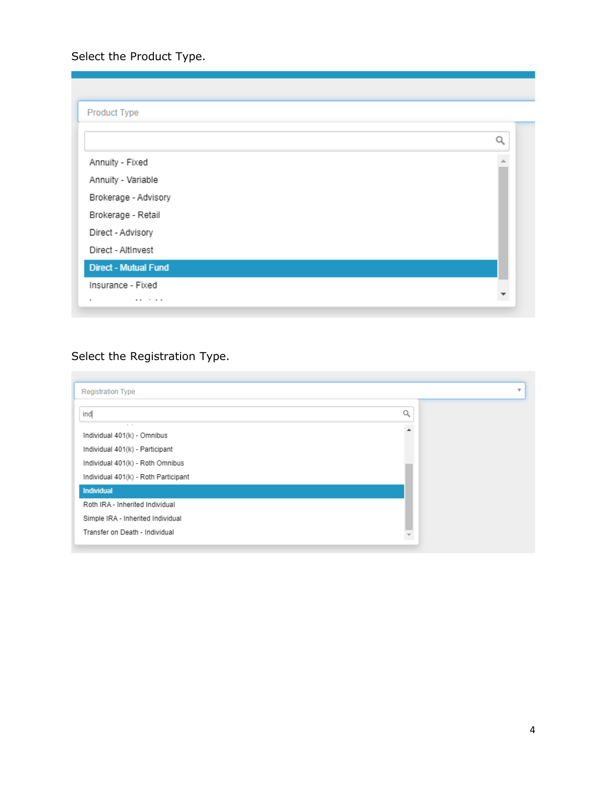Select the Product Type.

| Product Type                |  |
|-----------------------------|--|
|                             |  |
| Annuity - Fixed             |  |
| Annuity - Variable          |  |
| Brokerage - Advisory        |  |
| Brokerage - Retail          |  |
| Direct - Advisory           |  |
| Direct - AltInvest          |  |
| <b>Direct - Mutual Fund</b> |  |
| Insurance - Fixed           |  |
| $\ddot{\phantom{1}}$<br>.   |  |

# Select the Registration Type.

| <b>Registration Type</b>                                                 |   | $\overline{\mathbf{v}}$ |
|--------------------------------------------------------------------------|---|-------------------------|
| ind                                                                      | Q |                         |
| $-$<br>Individual 401(k) - Omnibus                                       |   |                         |
| Individual 401(k) - Participant                                          |   |                         |
| Individual 401(k) - Roth Omnibus<br>Individual 401(k) - Roth Participant |   |                         |
| <b>Individual</b>                                                        |   |                         |
| Roth IRA - Inherited Individual                                          |   |                         |
| Simple IRA - Inherited Individual                                        |   |                         |
| Transfer on Death - Individual                                           |   |                         |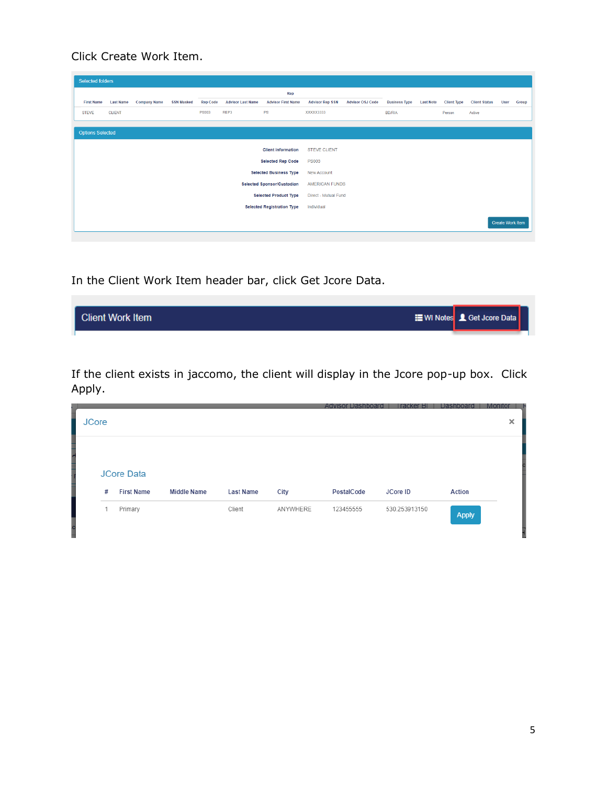Click Create Work Item.

| <b>Selected folders</b> |                  |                     |                   |                 |                          |                                   |                        |                         |                      |                  |                    |                      |                         |       |
|-------------------------|------------------|---------------------|-------------------|-----------------|--------------------------|-----------------------------------|------------------------|-------------------------|----------------------|------------------|--------------------|----------------------|-------------------------|-------|
|                         |                  |                     |                   |                 |                          | Rep                               |                        |                         |                      |                  |                    |                      |                         |       |
| <b>First Name</b>       | <b>Last Name</b> | <b>Company Name</b> | <b>SSN Masked</b> | <b>Rep Code</b> | <b>Advisor Last Name</b> | <b>Advisor First Name</b>         | <b>Advisor Rep SSN</b> | <b>Advisor OSJ Code</b> | <b>Business Type</b> | <b>Last Note</b> | <b>Client Type</b> | <b>Client Status</b> | User                    | Group |
| <b>STEVE</b>            | <b>CLIENT</b>    |                     |                   | <b>PS003</b>    | REP3                     | PS                                | XXXXX3333              |                         | <b>BD/RIA</b>        |                  | Person             | Active               |                         |       |
|                         |                  |                     |                   |                 |                          |                                   |                        |                         |                      |                  |                    |                      |                         |       |
| <b>Options Selected</b> |                  |                     |                   |                 |                          |                                   |                        |                         |                      |                  |                    |                      |                         |       |
|                         |                  |                     |                   |                 |                          | <b>Client information</b>         | <b>STEVE CLIENT</b>    |                         |                      |                  |                    |                      |                         |       |
|                         |                  |                     |                   |                 |                          | <b>Selected Rep Code</b>          | <b>PS003</b>           |                         |                      |                  |                    |                      |                         |       |
|                         |                  |                     |                   |                 |                          |                                   |                        |                         |                      |                  |                    |                      |                         |       |
|                         |                  |                     |                   |                 |                          | <b>Selected Business Type</b>     | <b>New Account</b>     |                         |                      |                  |                    |                      |                         |       |
|                         |                  |                     |                   |                 |                          | <b>Selected Sponsor/Custodian</b> | <b>AMERICAN FUNDS</b>  |                         |                      |                  |                    |                      |                         |       |
|                         |                  |                     |                   |                 |                          | <b>Selected Product Type</b>      | Direct - Mutual Fund   |                         |                      |                  |                    |                      |                         |       |
|                         |                  |                     |                   |                 |                          | <b>Selected Registration Type</b> | Individual             |                         |                      |                  |                    |                      |                         |       |
|                         |                  |                     |                   |                 |                          |                                   |                        |                         |                      |                  |                    |                      | <b>Create Work Item</b> |       |

In the Client Work Item header bar, click Get Jcore Data.

| <b>Client Work Item</b> | <b>E</b> WI Notes <b>L</b> Get Jcore Data |  |
|-------------------------|-------------------------------------------|--|
|                         |                                           |  |

If the client exists in jaccomo, the client will display in the Jcore pop-up box. Click Apply.

| <b>JCore</b> |                                        |                    |                  |          | Advisor I<br>Dachhoai | rя            | Dash         | × |
|--------------|----------------------------------------|--------------------|------------------|----------|-----------------------|---------------|--------------|---|
|              |                                        |                    |                  |          |                       |               |              |   |
| #            | <b>JCore Data</b><br><b>First Name</b> | <b>Middle Name</b> | <b>Last Name</b> | City     | PostalCode            | JCore ID      | Action       |   |
|              | Primary                                |                    | Client           | ANYWHERE | 123455555             | 530.253913150 | <b>Apply</b> |   |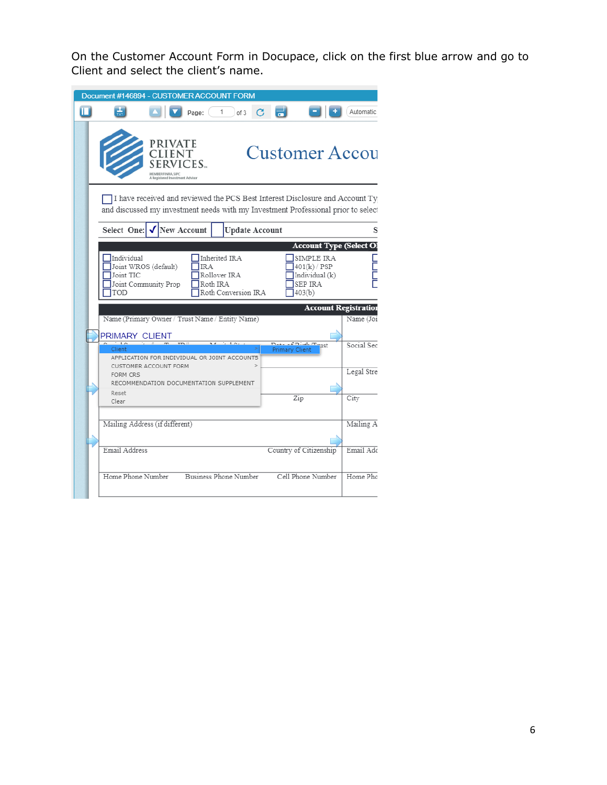On the Customer Account Form in Docupace, click on the first blue arrow and go to Client and select the client's name.

|                                |                                              |                    | Document #146894 - CUSTOMER ACCOUNT FORM                                                                                                                          |                                |                                              |                                |
|--------------------------------|----------------------------------------------|--------------------|-------------------------------------------------------------------------------------------------------------------------------------------------------------------|--------------------------------|----------------------------------------------|--------------------------------|
| П<br>÷                         |                                              | Page:              | of 3                                                                                                                                                              |                                |                                              | <b>Automatic</b>               |
|                                | PRIVATE<br>istered Investment Advisor        | CES                |                                                                                                                                                                   | <b>Customer Accou</b>          |                                              |                                |
|                                |                                              |                    | I have received and reviewed the PCS Best Interest Disclosure and Account Ty<br>and discussed my investment needs with my Investment Professional prior to select |                                |                                              |                                |
| Select One:                    |                                              | <b>New Account</b> | <b>Update Account</b>                                                                                                                                             |                                |                                              | s                              |
|                                |                                              |                    |                                                                                                                                                                   |                                |                                              | <b>Account Type (Select OI</b> |
| Individual<br>Joint TIC<br>TOD | Joint WROS (default)<br>Joint Community Prop | IR A               | Inherited IRA<br>Rollover IRA<br>Roth IRA<br>Roth Conversion IRA                                                                                                  | SEP IRA<br>403(b)              | SIMPLE IRA<br>401(k) / PSP<br>Individual (k) |                                |
|                                |                                              |                    |                                                                                                                                                                   |                                | <b>Account Registration</b>                  |                                |
|                                |                                              |                    | Name (Primary Owner / Trust Name / Entity Name)                                                                                                                   |                                |                                              |                                |
|                                |                                              |                    |                                                                                                                                                                   |                                |                                              | Name (Joi:                     |
| PRIMARY CLIENT<br>Client       |                                              |                    | APPLICATION FOR INDIVIDUAL OR JOINT ACCOUNTS                                                                                                                      | raint minute<br>Primary Client |                                              | Social Sec                     |
| <b>FORM CRS</b>                | CUSTOMER ACCOUNT FORM                        |                    | RECOMMENDATION DOCUMENTATION SUPPLEMENT                                                                                                                           |                                |                                              | Legal Stre                     |
| Reset<br>Clear                 |                                              |                    |                                                                                                                                                                   | Zip                            |                                              | City                           |
| Mailing Address (if different) |                                              |                    |                                                                                                                                                                   |                                |                                              |                                |
| Email Address                  |                                              |                    |                                                                                                                                                                   | Country of Citizenship         |                                              | Mailing A<br>Email Add         |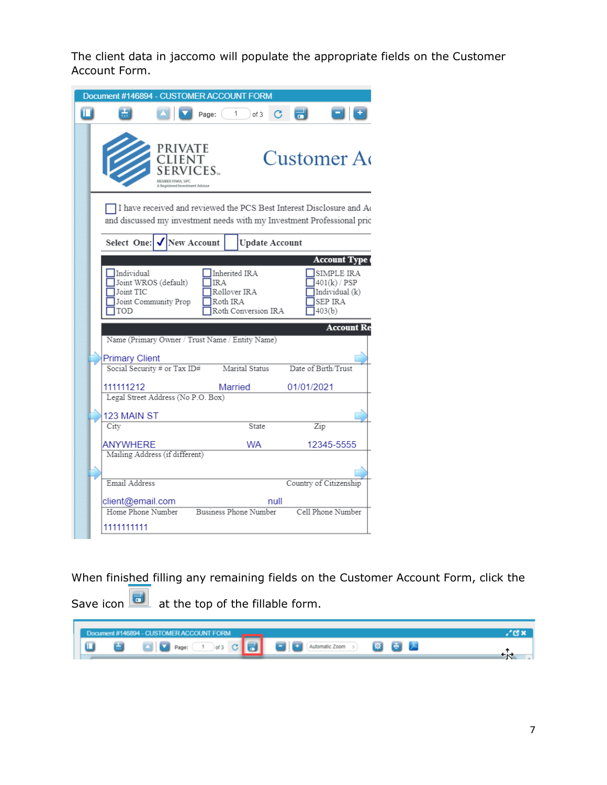The client data in jaccomo will populate the appropriate fields on the Customer Account Form.

|                | Document #146894 - CUSTOMER ACCOUNT FORM              |                                                        |        |                              |      |                                                                                                                                                |  |
|----------------|-------------------------------------------------------|--------------------------------------------------------|--------|------------------------------|------|------------------------------------------------------------------------------------------------------------------------------------------------|--|
| $\blacksquare$ |                                                       |                                                        | Page:  | 1<br>of 3                    | G    | ᆔ                                                                                                                                              |  |
|                |                                                       | PRIVATE<br><b>CLIENT</b><br>istered Investment Advisor | VICES. |                              |      | Customer A                                                                                                                                     |  |
|                |                                                       |                                                        |        |                              |      | I have received and reviewed the PCS Best Interest Disclosure and Ac<br>and discussed my investment needs with my Investment Professional prio |  |
|                | Select One:                                           | New Account                                            |        | <b>Update Account</b>        |      |                                                                                                                                                |  |
|                |                                                       |                                                        |        |                              |      | <b>Account Type (</b>                                                                                                                          |  |
|                | Joint TIC<br>Joint Community Prop                     |                                                        |        | Rollover IRA<br>Roth IRA     |      | Individual (k)<br>SEP IRA                                                                                                                      |  |
|                | TOD                                                   |                                                        |        | Roth Conversion IRA          |      | 403(b)<br><b>Account Re</b>                                                                                                                    |  |
|                | Name (Primary Owner / Trust Name / Entity Name)       |                                                        |        |                              |      |                                                                                                                                                |  |
|                | <b>Primary Client</b><br>Social Security # or Tax ID# |                                                        |        | Marital Status               |      | Date of Birth/Trust                                                                                                                            |  |
|                | 111111212                                             |                                                        |        | Married                      |      | 01/01/2021                                                                                                                                     |  |
|                | Legal Street Address (No P.O. Box)                    |                                                        |        |                              |      |                                                                                                                                                |  |
|                | 123 MAIN ST<br>City                                   |                                                        |        | State                        |      | Zip                                                                                                                                            |  |
|                | <b>ANYWHERE</b>                                       |                                                        |        | WA                           |      | 12345-5555                                                                                                                                     |  |
|                | Mailing Address (if different)                        |                                                        |        |                              |      |                                                                                                                                                |  |
|                | Email Address                                         |                                                        |        |                              |      | Country of Citizenship                                                                                                                         |  |
|                | client@email.com<br>Home Phone Number                 |                                                        |        | <b>Business Phone Number</b> | null | Cell Phone Number                                                                                                                              |  |

When finished filling any remaining fields on the Customer Account Form, click the

Save icon  $\boxed{\bullet}$  at the top of the fillable form.

|  | Document #146894 - CUSTOMER ACCOUNT FORM |                                                         |  |
|--|------------------------------------------|---------------------------------------------------------|--|
|  |                                          | <b>DE SOLO</b> Page: 1 of 3 C B B Adomatic Zoom 8 B B A |  |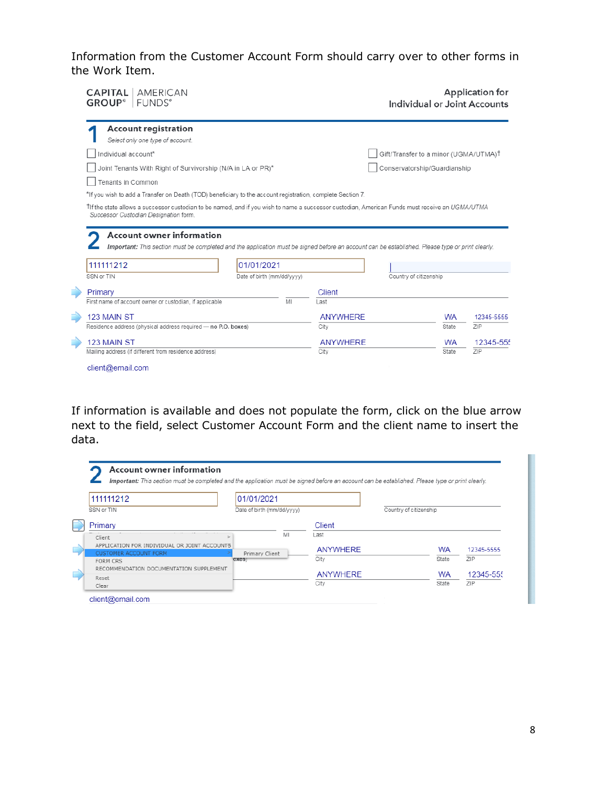Information from the Customer Account Form should carry over to other forms in the Work Item.

| <b>CAPITAL</b>   AMERICAN<br><b>GROUP® FUNDS®</b>                                                                                                                             |                            |    |                 |                                                   |           | Application for<br>Individual or Joint Accounts |
|-------------------------------------------------------------------------------------------------------------------------------------------------------------------------------|----------------------------|----|-----------------|---------------------------------------------------|-----------|-------------------------------------------------|
| <b>Account registration</b><br>Select only one type of account.                                                                                                               |                            |    |                 |                                                   |           |                                                 |
| Individual account*                                                                                                                                                           |                            |    |                 | Gift/Transfer to a minor (UGMA/UTMA) <sup>†</sup> |           |                                                 |
| Joint Tenants With Right of Survivorship (N/A in LA or PR)*                                                                                                                   |                            |    |                 | Conservatorship/Guardianship                      |           |                                                 |
| Tenants in Common                                                                                                                                                             |                            |    |                 |                                                   |           |                                                 |
| *If you wish to add a Transfer on Death (TOD) beneficiary to the account registration, complete Section 7.                                                                    |                            |    |                 |                                                   |           |                                                 |
|                                                                                                                                                                               |                            |    |                 |                                                   |           |                                                 |
| Account owner information<br>Important: This section must be completed and the application must be signed before an account can be established. Please type or print clearly. |                            |    |                 |                                                   |           |                                                 |
| 111111212                                                                                                                                                                     | 01/01/2021                 |    |                 |                                                   |           |                                                 |
| SSN or TIN                                                                                                                                                                    | Date of birth (mm/dd/vvvv) |    |                 | Country of citizenship                            |           |                                                 |
| Primary                                                                                                                                                                       |                            |    | Client          |                                                   |           |                                                 |
| First name of account owner or custodian, if applicable                                                                                                                       |                            | MI | Last            |                                                   |           |                                                 |
| 123 MAIN ST                                                                                                                                                                   |                            |    | <b>ANYWHERE</b> |                                                   | <b>WA</b> | 12345-5555                                      |
| Residence address (physical address required - no P.O. boxes)                                                                                                                 |                            |    | City            |                                                   | State     | ZIP                                             |
| 123 MAIN ST                                                                                                                                                                   |                            |    | <b>ANYWHERE</b> |                                                   | <b>WA</b> | 12345-555                                       |

If information is available and does not populate the form, click on the blue arrow next to the field, select Customer Account Form and the client name to insert the data.

| 111111212                                                                    | 01/01/2021                 |                 |                        |           |            |
|------------------------------------------------------------------------------|----------------------------|-----------------|------------------------|-----------|------------|
| SSN or TIN                                                                   | Date of birth (mm/dd/yyyy) |                 | Country of citizenship |           |            |
| Primary                                                                      |                            | Client          |                        |           |            |
| Client                                                                       | MI                         | Last            |                        |           |            |
| APPLICATION FOR INDIVIDUAL OR JOINT ACCOUNTS<br><b>CUSTOMER ACCOUNT FORM</b> | Primary Client             | <b>ANYWHERE</b> |                        | <b>WA</b> | 12345-5555 |
| FORM CRS                                                                     | oxes)                      | City            |                        | State     | <b>ZIP</b> |
| RECOMMENDATION DOCUMENTATION SUPPLEMENT                                      |                            |                 |                        |           |            |
| Reset                                                                        |                            | ANYWHERE        |                        | <b>WA</b> | 12345-555  |
| Clear                                                                        |                            | City            |                        | State     | 7IP        |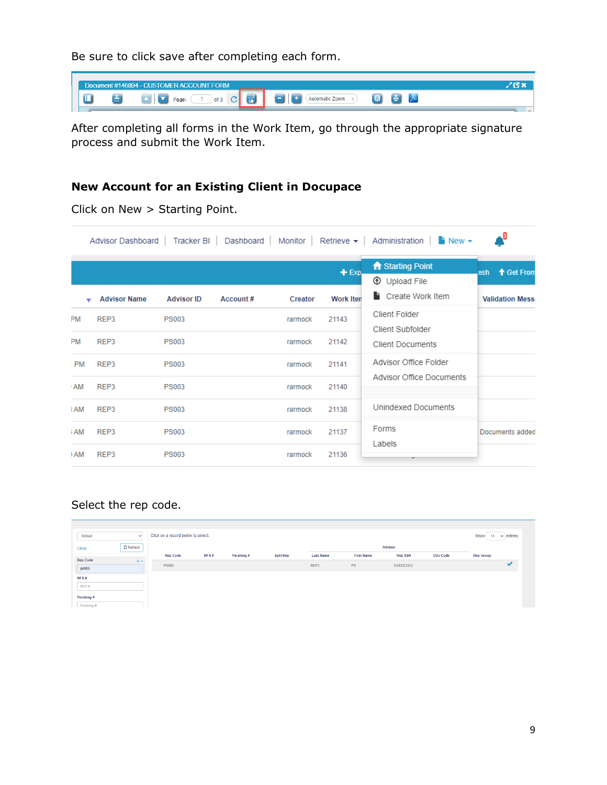Be sure to click save after completing each form.



After completing all forms in the Work Item, go through the appropriate signature process and submit the Work Item.

### **New Account for an Existing Client in Docupace**

|           | Advisor Dashboard   | Tracker BI        |          |         |                  | Dashboard   Monitor   Retrieve $\bullet$   Administration   $\bullet$ New $\bullet$ | - 3                     |
|-----------|---------------------|-------------------|----------|---------|------------------|-------------------------------------------------------------------------------------|-------------------------|
|           |                     |                   |          |         | $+$ Exp.         | A Starting Point<br><b>1</b> Upload File                                            | ↑ Get From<br>esh       |
|           | <b>Advisor Name</b> | <b>Advisor ID</b> | Account# | Creator | <b>Work Iten</b> | Create Work Item                                                                    | <b>Validation Messa</b> |
| <b>PM</b> | REP3                | <b>PS003</b>      |          | rarmock | 21143            | Client Folder<br>Client Subfolder                                                   |                         |
| <b>PM</b> | REP3                | <b>PS003</b>      |          | rarmock | 21142            | <b>Client Documents</b>                                                             |                         |
| <b>PM</b> | REP3                | <b>PS003</b>      |          | rarmock | 21141            | Advisor Office Folder                                                               |                         |
| <b>AM</b> | REP3                | <b>PS003</b>      |          | rarmock | 21140            | Advisor Office Documents                                                            |                         |
| : AM      | REP3                | <b>PS003</b>      |          | rarmock | 21138            | Unindexed Documents                                                                 |                         |
| i AM      | REP3                | <b>PS003</b>      |          | rarmock | 21137            | Forms                                                                               | Documents added         |
| I AM      | REP3                | <b>PS003</b>      |          | rarmock | 21136            | Labels                                                                              |                         |

Click on New > Starting Point.

### Select the rep code.

| Default         | $\checkmark$ | Click on a record below to select: |      |            |                  |                  |                   |                |                 | Show<br>15       | entries<br>$\checkmark$ |
|-----------------|--------------|------------------------------------|------|------------|------------------|------------------|-------------------|----------------|-----------------|------------------|-------------------------|
| Clear           | C Refresh    |                                    |      |            |                  |                  |                   | <b>Advisor</b> |                 |                  |                         |
| <b>Rep Code</b> | $is -$       | <b>Rep Code</b>                    | NFS# | Pershing # | <b>Split Rep</b> | <b>Last Name</b> | <b>First Name</b> | <b>Rep SSN</b> | <b>OSJ Code</b> | <b>Rep Group</b> |                         |
| ps003           |              | <b>PS003</b>                       |      |            |                  | REP3             | PS                | XXXXX3333      |                 |                  |                         |
| NFS#            |              |                                    |      |            |                  |                  |                   |                |                 |                  |                         |
| NFS#            |              |                                    |      |            |                  |                  |                   |                |                 |                  |                         |
| Pershing #      |              |                                    |      |            |                  |                  |                   |                |                 |                  |                         |
| Pershing #      |              |                                    |      |            |                  |                  |                   |                |                 |                  |                         |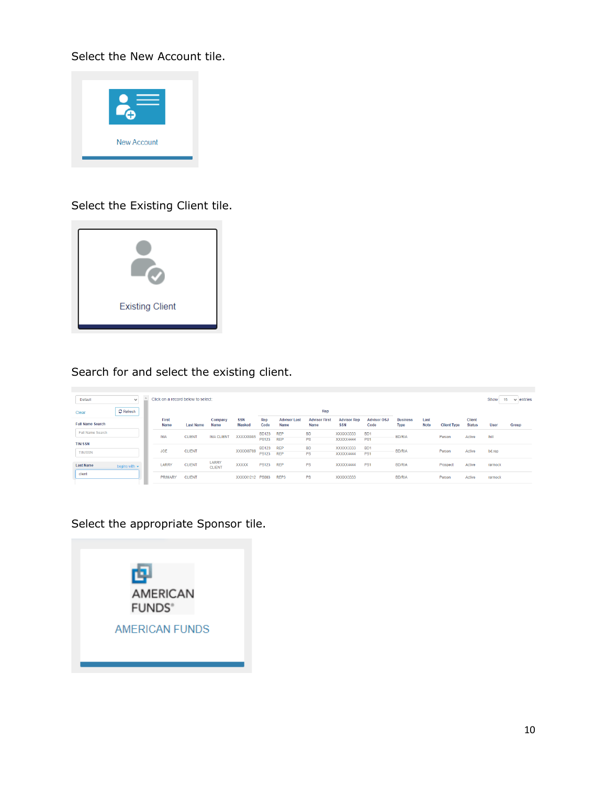Select the New Account tile.



### Select the Existing Client tile.



## Search for and select the existing client.

| Default                 | $\checkmark$       | Click on a record below to select: |                  |                        |                             |              |                             |                                     |                                  |                            |                                |                     |                    |                                | Show         | 15<br>entries<br>$\checkmark$ |
|-------------------------|--------------------|------------------------------------|------------------|------------------------|-----------------------------|--------------|-----------------------------|-------------------------------------|----------------------------------|----------------------------|--------------------------------|---------------------|--------------------|--------------------------------|--------------|-------------------------------|
| Clear                   | <b>C</b> Refresh   |                                    |                  |                        |                             |              |                             | Rep                                 |                                  |                            |                                |                     |                    |                                |              |                               |
| <b>Full Name Search</b> |                    | First<br>Name                      | <b>Last Name</b> | Company<br>Name        | <b>SSN</b><br><b>Masked</b> | Rep<br>Code  | <b>Advisor Last</b><br>Name | <b>Advisor First</b><br><b>Name</b> | <b>Advisor Rep</b><br><b>SSN</b> | <b>Advisor OSJ</b><br>Code | <b>Business</b><br><b>Type</b> | Last<br><b>Note</b> | <b>Client Type</b> | <b>Client</b><br><b>Status</b> | <b>User</b>  | Group                         |
| Full Name Search        |                    | <b>IMA</b>                         | <b>CLIENT</b>    | <b>IMA CLIENT</b>      | XXXXX6985                   | BD123 REP    |                             | <b>BD</b>                           | XXXXX3333                        | B <sub>D</sub> 1           | <b>BD/RIA</b>                  |                     | Person             | Active                         | <b>thill</b> |                               |
| <b>TIN/SSN</b>          |                    |                                    |                  |                        |                             | <b>PS123</b> | <b>REP</b>                  | PS                                  | XXXXX4444                        | PS <sub>1</sub>            |                                |                     |                    |                                |              |                               |
| <b>TIN/SSN</b>          |                    | <b>JOE</b>                         | <b>CLIENT</b>    |                        | XXXXX6789                   | BD123 REP    |                             | <b>BD</b>                           | XXXXX3333                        | B <sub>D</sub> 1           | <b>BD/RIA</b>                  |                     | Person             | Active                         | bd.rep       |                               |
|                         |                    |                                    |                  |                        |                             | <b>PS123</b> | <b>REP</b>                  | <b>PS</b>                           | XXXXX4444                        | PS <sub>1</sub>            |                                |                     |                    |                                |              |                               |
| <b>Last Name</b>        | begins with $\sim$ | LARRY                              | <b>CLIENT</b>    | LARRY<br><b>CLIENT</b> | <b>XXXXX</b>                | <b>PS123</b> | <b>REP</b>                  | <b>PS</b>                           | XXXXX4444                        | PS <sub>1</sub>            | <b>BD/RIA</b>                  |                     | Prospect           | Active                         | rarmock      |                               |
| client                  |                    | <b>PRIMARY</b>                     | <b>CLIENT</b>    |                        | XXXXX1212 PS003             |              | REP3                        | <b>PS</b>                           | XXXXX3333                        |                            | <b>BD/RIA</b>                  |                     | Person             | Active                         | rarmock      |                               |

## Select the appropriate Sponsor tile.

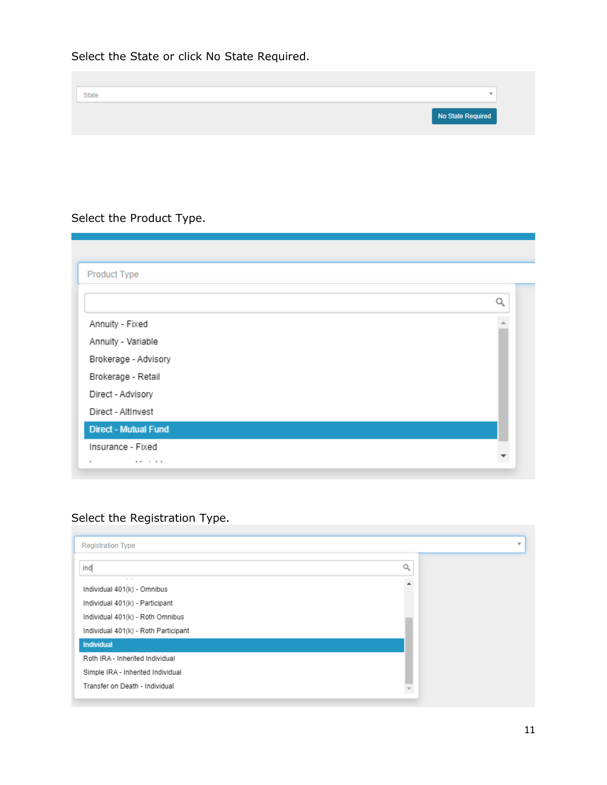Select the State or click No State Required.

| <b>State</b>      | $\rightarrow$ |
|-------------------|---------------|
|                   |               |
| No State Required |               |

# Select the Product Type.

| <b>Product Type</b>         |   |
|-----------------------------|---|
|                             | Ω |
| Annuity - Fixed             |   |
| Annuity - Variable          |   |
| Brokerage - Advisory        |   |
| Brokerage - Retail          |   |
| Direct - Advisory           |   |
| Direct - AltInvest          |   |
| <b>Direct - Mutual Fund</b> |   |
| Insurance - Fixed           |   |
| ٠<br>$\cdots$<br>.          |   |

# Select the Registration Type.

| <b>Registration Type</b>             |   | $\overline{\phantom{a}}$ |
|--------------------------------------|---|--------------------------|
| ind                                  | Q |                          |
| Individual 401(k) - Omnibus          |   |                          |
| Individual 401(k) - Participant      |   |                          |
| Individual 401(k) - Roth Omnibus     |   |                          |
| Individual 401(k) - Roth Participant |   |                          |
| <b>Individual</b>                    |   |                          |
| Roth IRA - Inherited Individual      |   |                          |
| Simple IRA - Inherited Individual    |   |                          |
| Transfer on Death - Individual       |   |                          |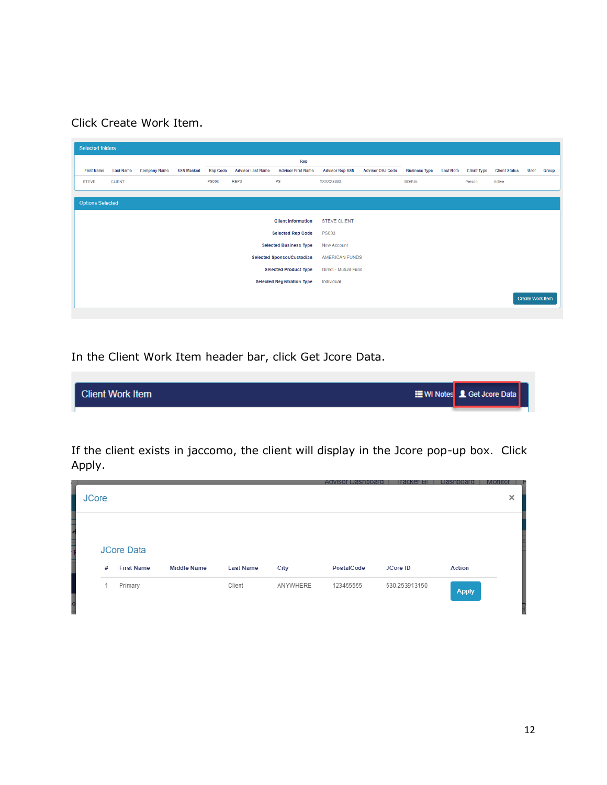Click Create Work Item.

| <b>Selected folders</b> |                  |                     |                   |                 |                          |                                   |                        |                         |                      |                  |                    |                      |                         |       |
|-------------------------|------------------|---------------------|-------------------|-----------------|--------------------------|-----------------------------------|------------------------|-------------------------|----------------------|------------------|--------------------|----------------------|-------------------------|-------|
|                         |                  |                     |                   |                 |                          | Rep                               |                        |                         |                      |                  |                    |                      |                         |       |
| <b>First Name</b>       | <b>Last Name</b> | <b>Company Name</b> | <b>SSN Masked</b> | <b>Rep Code</b> | <b>Advisor Last Name</b> | <b>Advisor First Name</b>         | <b>Advisor Rep SSN</b> | <b>Advisor OSJ Code</b> | <b>Business Type</b> | <b>Last Note</b> | <b>Client Type</b> | <b>Client Status</b> | User                    | Group |
| <b>STEVE</b>            | <b>CLIENT</b>    |                     |                   | <b>PS003</b>    | REP3                     | PS                                | XXXXX3333              |                         | <b>BD/RIA</b>        |                  | Person             | Active               |                         |       |
|                         |                  |                     |                   |                 |                          |                                   |                        |                         |                      |                  |                    |                      |                         |       |
| <b>Options Selected</b> |                  |                     |                   |                 |                          |                                   |                        |                         |                      |                  |                    |                      |                         |       |
|                         |                  |                     |                   |                 |                          | <b>Client information</b>         | <b>STEVE CLIENT</b>    |                         |                      |                  |                    |                      |                         |       |
|                         |                  |                     |                   |                 |                          | <b>Selected Rep Code</b>          | <b>PS003</b>           |                         |                      |                  |                    |                      |                         |       |
|                         |                  |                     |                   |                 |                          | <b>Selected Business Type</b>     | <b>New Account</b>     |                         |                      |                  |                    |                      |                         |       |
|                         |                  |                     |                   |                 |                          | Selected Sponsor/Custodian        | AMERICAN FUNDS         |                         |                      |                  |                    |                      |                         |       |
|                         |                  |                     |                   |                 |                          | <b>Selected Product Type</b>      | Direct - Mutual Fund   |                         |                      |                  |                    |                      |                         |       |
|                         |                  |                     |                   |                 |                          | <b>Selected Registration Type</b> | Individual             |                         |                      |                  |                    |                      |                         |       |
|                         |                  |                     |                   |                 |                          |                                   |                        |                         |                      |                  |                    |                      | <b>Create Work Item</b> |       |

In the Client Work Item header bar, click Get Jcore Data.



If the client exists in jaccomo, the client will display in the Jcore pop-up box. Click Apply.

| <b>JCore</b> |                                        |                    |                  |          |            |               |              | $\times$ |
|--------------|----------------------------------------|--------------------|------------------|----------|------------|---------------|--------------|----------|
| #            | <b>JCore Data</b><br><b>First Name</b> | <b>Middle Name</b> | <b>Last Name</b> | City     | PostalCode | JCore ID      | Action       |          |
|              | Primary                                |                    | Client           | ANYWHERE | 123455555  | 530.253913150 | <b>Apply</b> |          |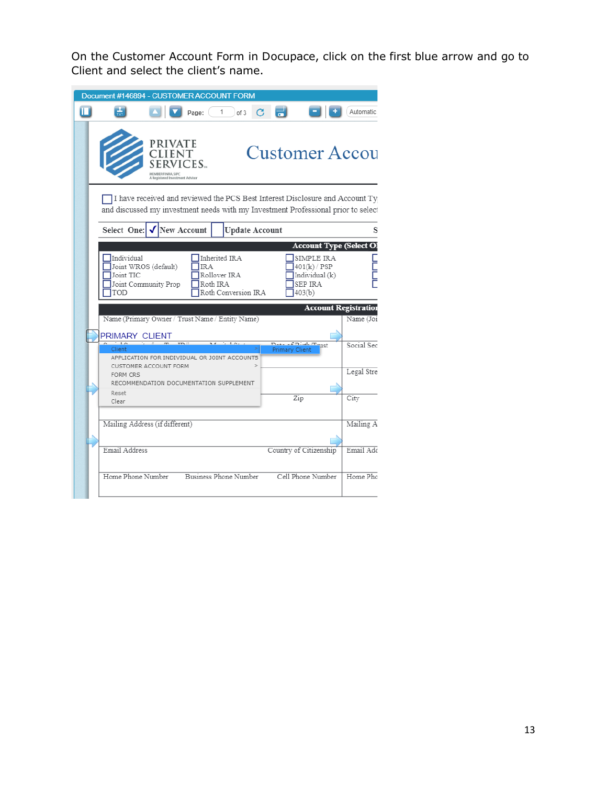On the Customer Account Form in Docupace, click on the first blue arrow and go to Client and select the client's name.

|                                |                                              |                    | Document #146894 - CUSTOMER ACCOUNT FORM                                                                                                                          |                                |                                              |                                |
|--------------------------------|----------------------------------------------|--------------------|-------------------------------------------------------------------------------------------------------------------------------------------------------------------|--------------------------------|----------------------------------------------|--------------------------------|
| П<br>÷                         |                                              | Page:              | of 3                                                                                                                                                              |                                |                                              | <b>Automatic</b>               |
|                                | PRIVATE<br>istered Investment Advisor        | CES                |                                                                                                                                                                   | <b>Customer Accou</b>          |                                              |                                |
|                                |                                              |                    | I have received and reviewed the PCS Best Interest Disclosure and Account Ty<br>and discussed my investment needs with my Investment Professional prior to select |                                |                                              |                                |
| Select One:                    |                                              | <b>New Account</b> | <b>Update Account</b>                                                                                                                                             |                                |                                              | s                              |
|                                |                                              |                    |                                                                                                                                                                   |                                |                                              | <b>Account Type (Select OI</b> |
| Individual<br>Joint TIC<br>TOD | Joint WROS (default)<br>Joint Community Prop | IR A               | Inherited IRA<br>Rollover IRA<br>Roth IRA<br>Roth Conversion IRA                                                                                                  | SEP IRA<br>403(b)              | SIMPLE IRA<br>401(k) / PSP<br>Individual (k) |                                |
|                                |                                              |                    |                                                                                                                                                                   |                                | <b>Account Registration</b>                  |                                |
|                                |                                              |                    | Name (Primary Owner / Trust Name / Entity Name)                                                                                                                   |                                |                                              |                                |
|                                |                                              |                    |                                                                                                                                                                   |                                |                                              | Name (Joi:                     |
| PRIMARY CLIENT<br>Client       |                                              |                    | APPLICATION FOR INDIVIDUAL OR JOINT ACCOUNTS                                                                                                                      | raint minute<br>Primary Client |                                              | Social Sec                     |
| <b>FORM CRS</b>                | CUSTOMER ACCOUNT FORM                        |                    | RECOMMENDATION DOCUMENTATION SUPPLEMENT                                                                                                                           |                                |                                              | Legal Stre                     |
| Reset<br>Clear                 |                                              |                    |                                                                                                                                                                   | Zip                            |                                              | City                           |
| Mailing Address (if different) |                                              |                    |                                                                                                                                                                   |                                |                                              |                                |
| Email Address                  |                                              |                    |                                                                                                                                                                   | Country of Citizenship         |                                              | Mailing A<br>Email Add         |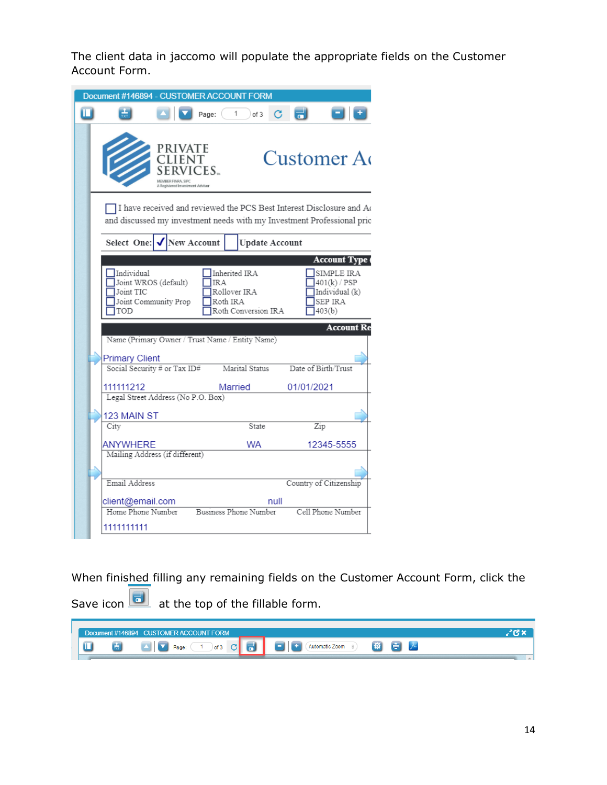The client data in jaccomo will populate the appropriate fields on the Customer Account Form.

|                | Document #146894 - CUSTOMER ACCOUNT FORM              |                                                        |        |                              |      |                                                                                                                                                |  |
|----------------|-------------------------------------------------------|--------------------------------------------------------|--------|------------------------------|------|------------------------------------------------------------------------------------------------------------------------------------------------|--|
| $\blacksquare$ |                                                       |                                                        | Page:  | 1<br>of 3                    | G    | ٣                                                                                                                                              |  |
|                |                                                       | PRIVATE<br><b>CLIENT</b><br>istered Investment Advisor | VICES. |                              |      | Customer A                                                                                                                                     |  |
|                |                                                       |                                                        |        |                              |      | I have received and reviewed the PCS Best Interest Disclosure and Ac<br>and discussed my investment needs with my Investment Professional prio |  |
|                | Select One:                                           | New Account                                            |        | <b>Update Account</b>        |      |                                                                                                                                                |  |
|                |                                                       |                                                        |        |                              |      | <b>Account Type (</b>                                                                                                                          |  |
|                | Joint TIC<br>Joint Community Prop                     |                                                        |        | Rollover IRA<br>Roth IRA     |      | Individual (k)<br>SEP IRA                                                                                                                      |  |
|                | TOD                                                   |                                                        |        | Roth Conversion IRA          |      | 403(b)<br><b>Account Re</b>                                                                                                                    |  |
|                | Name (Primary Owner / Trust Name / Entity Name)       |                                                        |        |                              |      |                                                                                                                                                |  |
|                | <b>Primary Client</b><br>Social Security # or Tax ID# |                                                        |        | Marital Status               |      | Date of Birth/Trust                                                                                                                            |  |
|                | 111111212                                             |                                                        |        | Married                      |      | 01/01/2021                                                                                                                                     |  |
|                | Legal Street Address (No P.O. Box)                    |                                                        |        |                              |      |                                                                                                                                                |  |
|                | 123 MAIN ST<br>City                                   |                                                        |        | State                        |      | Zip                                                                                                                                            |  |
|                | <b>ANYWHERE</b>                                       |                                                        |        | WA                           |      | 12345-5555                                                                                                                                     |  |
|                | Mailing Address (if different)                        |                                                        |        |                              |      |                                                                                                                                                |  |
|                | Email Address                                         |                                                        |        |                              |      | Country of Citizenship                                                                                                                         |  |
|                | client@email.com<br>Home Phone Number                 |                                                        |        | <b>Business Phone Number</b> | null | Cell Phone Number                                                                                                                              |  |

When finished filling any remaining fields on the Customer Account Form, click the

Save icon  $\boxed{\bullet}$  at the top of the fillable form.

|  | Document #146894 - CUSTOMER ACCOUNT FORM                                  |                                                                                                                                                                                       |
|--|---------------------------------------------------------------------------|---------------------------------------------------------------------------------------------------------------------------------------------------------------------------------------|
|  | $\circ$ of 3 $\circ$ $\circ$ $\circ$ $\circ$ $\circ$<br>Page:<br><b>M</b> | $\left  \alpha \right $ $\left  \alpha \right $<br>$\begin{array}{ c c c c c }\n\hline\n\hline\n\end{array}$ + $\begin{array}{ c c c }\n\hline\n\end{array}$ Automatic Zoom $\otimes$ |
|  |                                                                           |                                                                                                                                                                                       |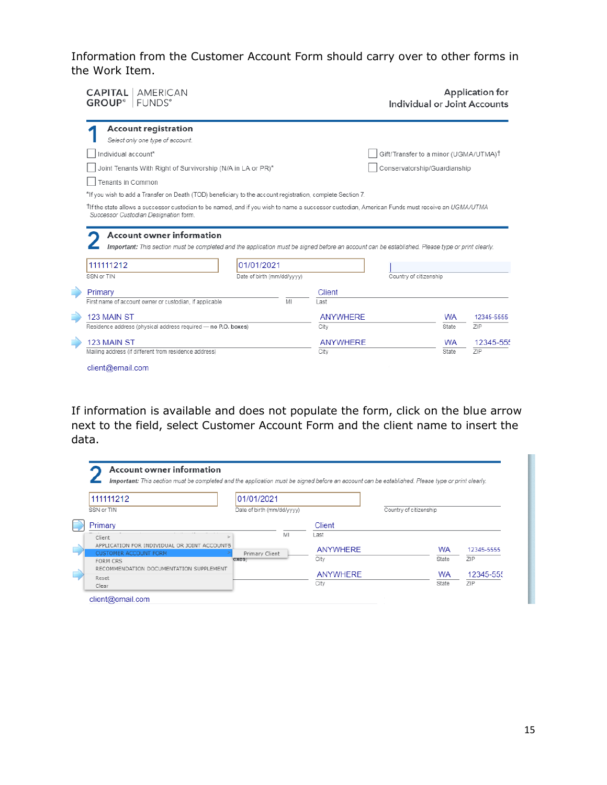Information from the Customer Account Form should carry over to other forms in the Work Item.

| <b>CAPITAL</b>   AMERICAN<br><b>GROUP</b> <sup>°</sup> FUNDS <sup>°</sup>                                                                                                                                                           |                              | Application for<br>Individual or Joint Accounts |                 |                                                   |           |            |
|-------------------------------------------------------------------------------------------------------------------------------------------------------------------------------------------------------------------------------------|------------------------------|-------------------------------------------------|-----------------|---------------------------------------------------|-----------|------------|
| <b>Account registration</b><br>Select only one type of account.                                                                                                                                                                     |                              |                                                 |                 |                                                   |           |            |
| Individual account*                                                                                                                                                                                                                 |                              |                                                 |                 | Gift/Transfer to a minor (UGMA/UTMA) <sup>†</sup> |           |            |
| Joint Tenants With Right of Survivorship (N/A in LA or PR)*                                                                                                                                                                         | Conservatorship/Guardianship |                                                 |                 |                                                   |           |            |
| Tenants in Common                                                                                                                                                                                                                   |                              |                                                 |                 |                                                   |           |            |
| *If you wish to add a Transfer on Death (TOD) beneficiary to the account registration, complete Section 7.                                                                                                                          |                              |                                                 |                 |                                                   |           |            |
| Successor Custodian Designation form.<br>Account owner information<br>Important: This section must be completed and the application must be signed before an account can be established. Please type or print clearly.<br>111111212 | 01/01/2021                   |                                                 |                 |                                                   |           |            |
| SSN or TIN                                                                                                                                                                                                                          | Date of birth (mm/dd/yyyy)   |                                                 |                 | Country of citizenship                            |           |            |
| Primary<br>First name of account owner or custodian, if applicable                                                                                                                                                                  |                              | MI                                              | Client<br>Last  |                                                   |           |            |
| 123 MAIN ST                                                                                                                                                                                                                         |                              |                                                 | <b>ANYWHERE</b> |                                                   | <b>WA</b> | 12345-5555 |
| Residence address (physical address required - no P.O. boxes)                                                                                                                                                                       |                              |                                                 | City            |                                                   | State     | ZIP        |
| 123 MAIN ST                                                                                                                                                                                                                         |                              |                                                 | <b>ANYWHERE</b> |                                                   | <b>WA</b> | 12345-555  |
| Mailing address (if different from residence address)                                                                                                                                                                               |                              |                                                 | City            | State                                             | 7IP       |            |
| client@email.com                                                                                                                                                                                                                    |                              |                                                 |                 |                                                   |           |            |

If information is available and does not populate the form, click on the blue arrow next to the field, select Customer Account Form and the client name to insert the data.

| 111111212                                                                    | 01/01/2021                 |                 |                        |           |                  |
|------------------------------------------------------------------------------|----------------------------|-----------------|------------------------|-----------|------------------|
| SSN or TIN                                                                   | Date of birth (mm/dd/yyyy) |                 | Country of citizenship |           |                  |
| Primary                                                                      |                            | Client          |                        |           |                  |
| Client                                                                       | MI                         | Last            |                        |           |                  |
| APPLICATION FOR INDIVIDUAL OR JOINT ACCOUNTS<br><b>CUSTOMER ACCOUNT FORM</b> | Primary Client             | <b>ANYWHERE</b> |                        | <b>WA</b> | 12345-5555       |
| FORM CRS                                                                     | oxes)                      | City            |                        | State     | <b>ZIP</b>       |
| RECOMMENDATION DOCUMENTATION SUPPLEMENT                                      |                            |                 |                        |           |                  |
|                                                                              |                            | ANYWHERE        |                        | <b>WA</b> |                  |
| Reset<br>Clear                                                               |                            | City            |                        | State     | 12345-555<br>7IP |